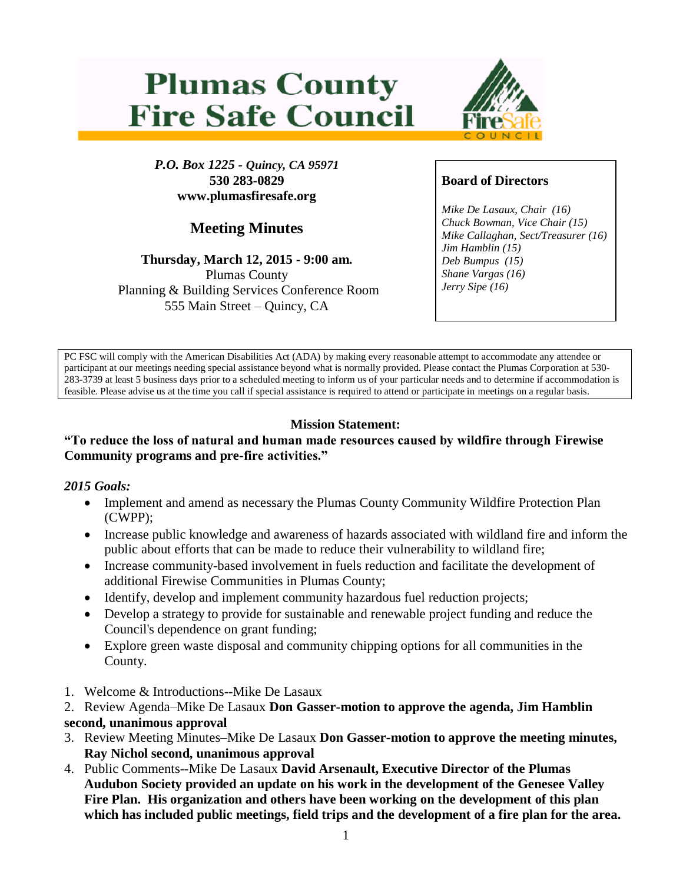# **Plumas County Fire Safe Council**



*P.O. Box 1225 - Quincy, CA 95971* **530 283-0829 www.plumasfiresafe.org**

# **Meeting Minutes**

**Thursday, March 12, 2015 - 9:00 am.** Plumas County Planning & Building Services Conference Room 555 Main Street – Quincy, CA

# **Board of Directors**

*Mike De Lasaux, Chair (16) Chuck Bowman, Vice Chair (15) Mike Callaghan, Sect/Treasurer (16) Jim Hamblin (15) Deb Bumpus (15) Shane Vargas (16) Jerry Sipe (16)* 

PC FSC will comply with the American Disabilities Act (ADA) by making every reasonable attempt to accommodate any attendee or participant at our meetings needing special assistance beyond what is normally provided. Please contact the Plumas Corporation at 530- 283-3739 at least 5 business days prior to a scheduled meeting to inform us of your particular needs and to determine if accommodation is feasible. Please advise us at the time you call if special assistance is required to attend or participate in meetings on a regular basis.

## **Mission Statement:**

#### **"To reduce the loss of natural and human made resources caused by wildfire through Firewise Community programs and pre-fire activities."**

### *2015 Goals:*

- Implement and amend as necessary the Plumas County Community Wildfire Protection Plan (CWPP);
- Increase public knowledge and awareness of hazards associated with wildland fire and inform the public about efforts that can be made to reduce their vulnerability to wildland fire;
- Increase community-based involvement in fuels reduction and facilitate the development of additional Firewise Communities in Plumas County;
- Identify, develop and implement community hazardous fuel reduction projects;
- Develop a strategy to provide for sustainable and renewable project funding and reduce the Council's dependence on grant funding;
- Explore green waste disposal and community chipping options for all communities in the County.
- 1. Welcome & Introductions--Mike De Lasaux
- 2. Review Agenda–Mike De Lasaux **Don Gasser-motion to approve the agenda, Jim Hamblin second, unanimous approval**
- 3. Review Meeting Minutes–Mike De Lasaux **Don Gasser-motion to approve the meeting minutes, Ray Nichol second, unanimous approval**
- 4. Public Comments--Mike De Lasaux **David Arsenault, Executive Director of the Plumas Audubon Society provided an update on his work in the development of the Genesee Valley Fire Plan. His organization and others have been working on the development of this plan which has included public meetings, field trips and the development of a fire plan for the area.**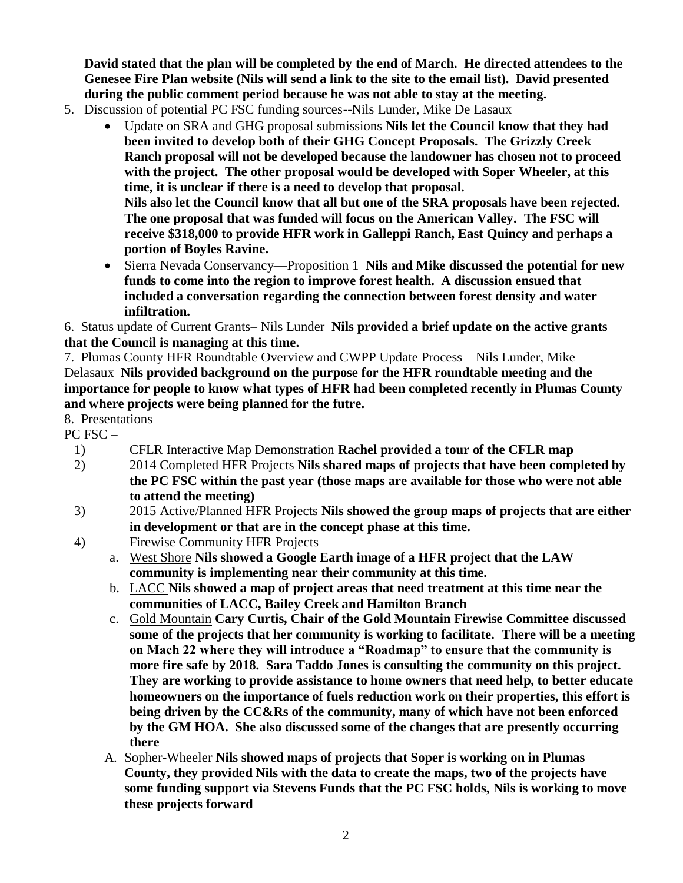**David stated that the plan will be completed by the end of March. He directed attendees to the Genesee Fire Plan website (Nils will send a link to the site to the email list). David presented during the public comment period because he was not able to stay at the meeting.**

- 5. Discussion of potential PC FSC funding sources--Nils Lunder, Mike De Lasaux
	- Update on SRA and GHG proposal submissions **Nils let the Council know that they had been invited to develop both of their GHG Concept Proposals. The Grizzly Creek Ranch proposal will not be developed because the landowner has chosen not to proceed with the project. The other proposal would be developed with Soper Wheeler, at this time, it is unclear if there is a need to develop that proposal. Nils also let the Council know that all but one of the SRA proposals have been rejected. The one proposal that was funded will focus on the American Valley. The FSC will receive \$318,000 to provide HFR work in Galleppi Ranch, East Quincy and perhaps a portion of Boyles Ravine.**
	- Sierra Nevada Conservancy—Proposition 1 **Nils and Mike discussed the potential for new funds to come into the region to improve forest health. A discussion ensued that included a conversation regarding the connection between forest density and water infiltration.**

6. Status update of Current Grants– Nils Lunder **Nils provided a brief update on the active grants that the Council is managing at this time.**

7. Plumas County HFR Roundtable Overview and CWPP Update Process—Nils Lunder, Mike Delasaux **Nils provided background on the purpose for the HFR roundtable meeting and the importance for people to know what types of HFR had been completed recently in Plumas County and where projects were being planned for the futre.**

8. Presentations

PC FSC –

- 1) CFLR Interactive Map Demonstration **Rachel provided a tour of the CFLR map**
- 2) 2014 Completed HFR Projects **Nils shared maps of projects that have been completed by the PC FSC within the past year (those maps are available for those who were not able to attend the meeting)**
- 3) 2015 Active/Planned HFR Projects **Nils showed the group maps of projects that are either in development or that are in the concept phase at this time.**
- 4) Firewise Community HFR Projects
	- a. West Shore **Nils showed a Google Earth image of a HFR project that the LAW community is implementing near their community at this time.**
	- b. LACC **Nils showed a map of project areas that need treatment at this time near the communities of LACC, Bailey Creek and Hamilton Branch**
	- c. Gold Mountain **Cary Curtis, Chair of the Gold Mountain Firewise Committee discussed some of the projects that her community is working to facilitate. There will be a meeting on Mach 22 where they will introduce a "Roadmap" to ensure that the community is more fire safe by 2018. Sara Taddo Jones is consulting the community on this project. They are working to provide assistance to home owners that need help, to better educate homeowners on the importance of fuels reduction work on their properties, this effort is being driven by the CC&Rs of the community, many of which have not been enforced by the GM HOA. She also discussed some of the changes that are presently occurring there**
	- A. Sopher-Wheeler **Nils showed maps of projects that Soper is working on in Plumas County, they provided Nils with the data to create the maps, two of the projects have some funding support via Stevens Funds that the PC FSC holds, Nils is working to move these projects forward**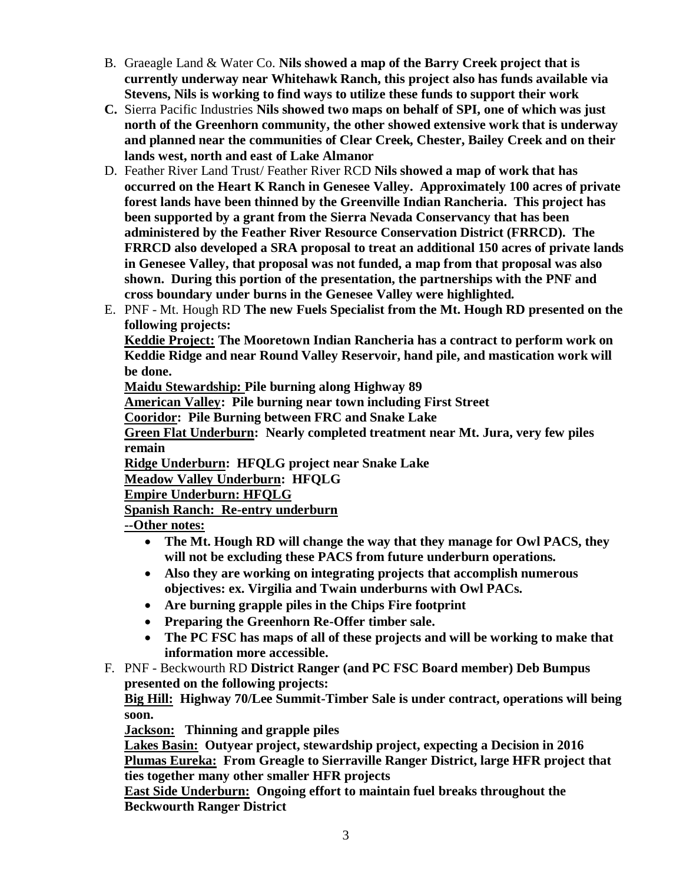- B. Graeagle Land & Water Co. **Nils showed a map of the Barry Creek project that is currently underway near Whitehawk Ranch, this project also has funds available via Stevens, Nils is working to find ways to utilize these funds to support their work**
- **C.** Sierra Pacific Industries **Nils showed two maps on behalf of SPI, one of which was just north of the Greenhorn community, the other showed extensive work that is underway and planned near the communities of Clear Creek, Chester, Bailey Creek and on their lands west, north and east of Lake Almanor**
- D. Feather River Land Trust/ Feather River RCD **Nils showed a map of work that has occurred on the Heart K Ranch in Genesee Valley. Approximately 100 acres of private forest lands have been thinned by the Greenville Indian Rancheria. This project has been supported by a grant from the Sierra Nevada Conservancy that has been administered by the Feather River Resource Conservation District (FRRCD). The FRRCD also developed a SRA proposal to treat an additional 150 acres of private lands in Genesee Valley, that proposal was not funded, a map from that proposal was also shown. During this portion of the presentation, the partnerships with the PNF and cross boundary under burns in the Genesee Valley were highlighted.**
- E. PNF Mt. Hough RD **The new Fuels Specialist from the Mt. Hough RD presented on the following projects:**

**Keddie Project: The Mooretown Indian Rancheria has a contract to perform work on Keddie Ridge and near Round Valley Reservoir, hand pile, and mastication work will be done.**

**Maidu Stewardship: Pile burning along Highway 89**

**American Valley: Pile burning near town including First Street**

**Cooridor: Pile Burning between FRC and Snake Lake**

**Green Flat Underburn: Nearly completed treatment near Mt. Jura, very few piles remain**

**Ridge Underburn: HFQLG project near Snake Lake**

**Meadow Valley Underburn: HFQLG**

**Empire Underburn: HFQLG**

**Spanish Ranch: Re-entry underburn**

**--Other notes:** 

- **The Mt. Hough RD will change the way that they manage for Owl PACS, they will not be excluding these PACS from future underburn operations.**
- **Also they are working on integrating projects that accomplish numerous objectives: ex. Virgilia and Twain underburns with Owl PACs.**
- **Are burning grapple piles in the Chips Fire footprint**
- **Preparing the Greenhorn Re-Offer timber sale.**
- **The PC FSC has maps of all of these projects and will be working to make that information more accessible.**
- F. PNF Beckwourth RD **District Ranger (and PC FSC Board member) Deb Bumpus presented on the following projects:**

**Big Hill: Highway 70/Lee Summit-Timber Sale is under contract, operations will being soon.**

**Jackson: Thinning and grapple piles** 

**Lakes Basin: Outyear project, stewardship project, expecting a Decision in 2016 Plumas Eureka: From Greagle to Sierraville Ranger District, large HFR project that ties together many other smaller HFR projects**

**East Side Underburn: Ongoing effort to maintain fuel breaks throughout the Beckwourth Ranger District**